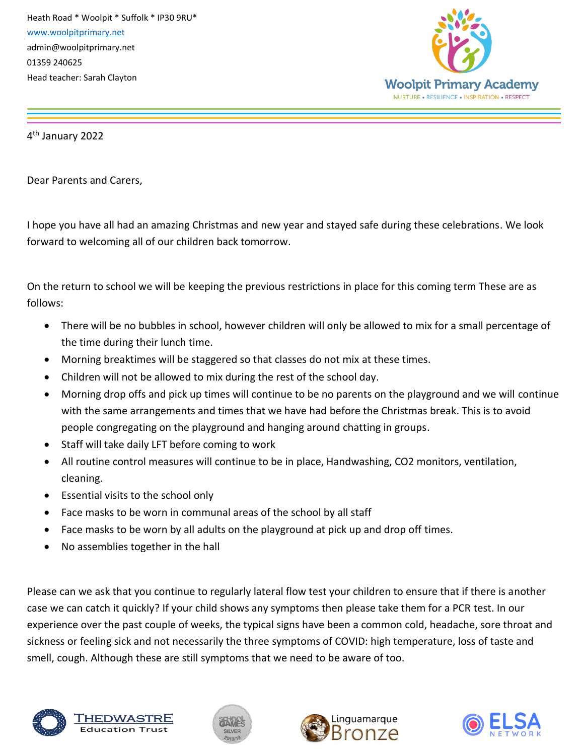Heath Road \* Woolpit \* Suffolk \* IP30 9RU\* [www.woolpitprimary.net](http://www.woolpitprimary.net/) admin@woolpitprimary.net 01359 240625 Head teacher: Sarah Clayton



4 th January 2022

Dear Parents and Carers,

I hope you have all had an amazing Christmas and new year and stayed safe during these celebrations. We look forward to welcoming all of our children back tomorrow.

On the return to school we will be keeping the previous restrictions in place for this coming term These are as follows:

- There will be no bubbles in school, however children will only be allowed to mix for a small percentage of the time during their lunch time.
- Morning breaktimes will be staggered so that classes do not mix at these times.
- Children will not be allowed to mix during the rest of the school day.
- Morning drop offs and pick up times will continue to be no parents on the playground and we will continue with the same arrangements and times that we have had before the Christmas break. This is to avoid people congregating on the playground and hanging around chatting in groups.
- Staff will take daily LFT before coming to work
- All routine control measures will continue to be in place, Handwashing, CO2 monitors, ventilation, cleaning.
- Essential visits to the school only
- Face masks to be worn in communal areas of the school by all staff
- Face masks to be worn by all adults on the playground at pick up and drop off times.
- No assemblies together in the hall

Please can we ask that you continue to regularly lateral flow test your children to ensure that if there is another case we can catch it quickly? If your child shows any symptoms then please take them for a PCR test. In our experience over the past couple of weeks, the typical signs have been a common cold, headache, sore throat and sickness or feeling sick and not necessarily the three symptoms of COVID: high temperature, loss of taste and smell, cough. Although these are still symptoms that we need to be aware of too.



「HEDWASTF **Education Trus**